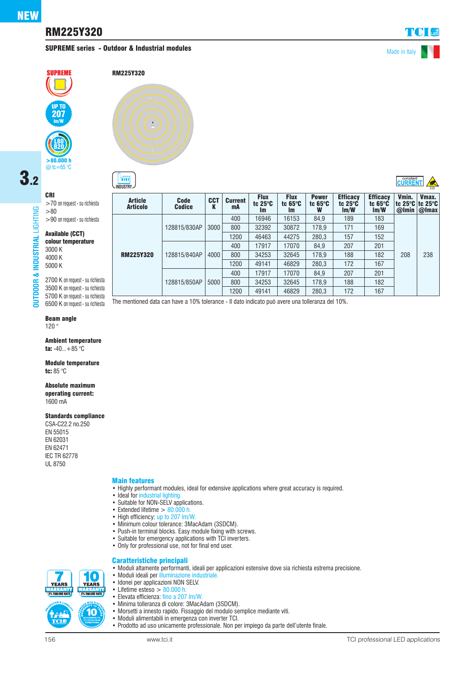# RM225Y320

## SUPREME series - Outdoor & Industrial modules and the series of the Made in Italy

RM225Y320

 $\mathfrak{m}$ 

| constant<br>|CLIRRENT



# 3.2CRI

**OUTDOOR & INDUSTRIAL** LIGHTING

& INDUSTRIAL

**DUTDOOR** 

LIGHTING

>70 on request - su richiesta >80 >90 on request - su richiesta

#### Available (CCT) colour temperature

3000 K 4000 K 5000 K

2700 K on request - su richiesta 3500 K on request - su richiesta 5700 K on request - su richiesta 6500 K on request - su richiesta

### Beam angle

120 °

Ambient temperature ta:  $-40...+85$  °C

Module temperature tc: 85 °C

#### Absolute maximum

operating current: 1600 mA

#### Standards compliance

CSA-C22.2 no.250 EN 55015 EN 62031 EN 62471 IEC TR 62778 UL 8750

#### Main features

- Highly performant modules, ideal for extensive applications where great accuracy is required.
- Ideal for industrial lighting
- Suitable for NON-SELV applications.
- Extended lifetime  $> 80.000$  h.
- High efficiency: up to 207 lm/W.
- Minimum colour tolerance: 3MacAdam (3SDCM).
- Push-in terminal blocks. Easy module fixing with screws.
- Suitable for emergency applications with TCI inverters.
- Only for professional use, not for final end user.

• Moduli ideali per illuminazione industriale.

#### Caratteristiche principali • Moduli altamente performanti, ideali per applicazioni estensive dove sia richiesta estrema precisione.

- íO **YEARS YEARS** *TANK MANYAR*<br>5% FAILURE RATE 10
	- Idonei per applicazioni NON SELV. • Lifetime esteso  $> 80.000$  h.<br>• Elevata efficienza: fino a 207
		- Elevata efficienza: fino a 207 lm/W.
		- Minima tolleranza di colore: 3MacAdam (3SDCM).
		- Morsetti a innesto rapido. Fissaggio del modulo semplice mediante viti.
		- Moduli alimentabili in emergenza con inverter TCI.
		- Prodotto ad uso unicamente professionale. Non per impiego da parte dell'utente finale.

| <b>Article</b><br><b>Articolo</b> | Code<br><b>Codice</b> | <b>CCT</b><br>ĸ | <b>Current</b><br>mA | <b>Flux</b><br>tc $25^\circ C$<br><b>Im</b> | <b>Flux</b><br>tc $65^\circ C$<br><b>Im</b> | <b>Power</b><br>tc $65^\circ C$<br>W | <b>Efficacy</b><br>tc $25^\circ$ C<br>Im/W | <b>Efficacy</b><br>tc $65^\circ$ C<br>Im/W | Vmin.<br>tc 25°C tc 25°C<br>@Imin | Vmax.<br>@Imax |
|-----------------------------------|-----------------------|-----------------|----------------------|---------------------------------------------|---------------------------------------------|--------------------------------------|--------------------------------------------|--------------------------------------------|-----------------------------------|----------------|
|                                   |                       |                 | 400                  | 16946                                       | 16153                                       | 84.9                                 | 189                                        | 183                                        | 208                               |                |
|                                   | 128815/830AP          | 3000            | 800                  | 32392                                       | 30872                                       | 178.9                                | 171                                        | 169                                        |                                   |                |
|                                   |                       |                 | 1200                 | 46463                                       | 44275                                       | 280.3                                | 157                                        | 152                                        |                                   |                |
|                                   | 128815/840AP          | 4000            | 400                  | 17917                                       | 17070                                       | 84.9                                 | 207                                        | 201                                        |                                   |                |
| <b>RM225Y320</b>                  |                       |                 | 800                  | 34253                                       | 32645                                       | 178.9                                | 188                                        | 182                                        |                                   | 238            |
|                                   |                       |                 | 1200                 | 49141                                       | 46829                                       | 280.3                                | 172                                        | 167                                        |                                   |                |
|                                   | 128815/850AP          | 5000            | 400                  | 17917                                       | 17070                                       | 84.9                                 | 207                                        | 201                                        |                                   |                |
|                                   |                       |                 | 800                  | 34253                                       | 32645                                       | 178.9                                | 188                                        | 182                                        |                                   |                |
|                                   |                       |                 | 1200                 | 49141                                       | 46829                                       | 280,3                                | 172                                        | 167                                        |                                   |                |

**INDUSTRY**  $\rightarrow$  ESD

The mentioned data can have a 10% tolerance - Il dato indicato può avere una tolleranza del 10%.